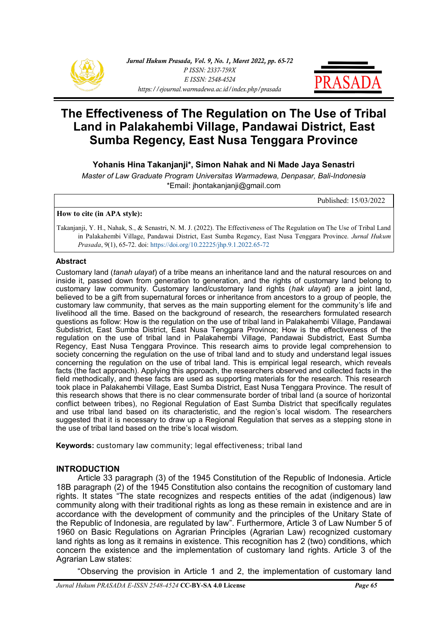



# **The Effectiveness of The Regulation on The Use of Tribal Land in Palakahembi Village, Pandawai District, East Sumba Regency, East Nusa Tenggara Province**

**Yohanis Hina Takanjanji\*, Simon Nahak and Ni Made Jaya Senastri**

*Master of Law Graduate Program Universitas Warmadewa, Denpasar, Bali-Indonesia* \*Email: [jhontakanjanji@gmail.com](mailto:jhontakanjanji@gmail.com)

Published: 15/03/2022

#### **How to cite (in APA style):**

Takanjanji, Y. H., Nahak, S., & Senastri, N. M. J. (2022). The Effectiveness of The Regulation on The Use of Tribal Land in Palakahembi Village, Pandawai District, East Sumba Regency, East Nusa Tenggara Province. *Jurnal Hukum Prasada*, 9(1), 65-72. doi: [https://doi.org/10.22225/jhp.9.1.2022.65](https://ejournal.warmadewa.ac.id/index.php/prasada/article/view/4826)-72

#### **Abstract**

Customary land (*tanah ulayat*) of a tribe means an inheritance land and the natural resources on and inside it, passed down from generation to generation, and the rights of customary land belong to customary law community. Customary land/customary land rights (*hak ulayat*) are a joint land, believed to be a gift from supernatural forces or inheritance from ancestors to a group of people, the customary law community, that serves as the main supporting element for the community's life and livelihood all the time. Based on the background of research, the researchers formulated research questions as follow: How is the regulation on the use of tribal land in Palakahembi Village, Pandawai Subdistrict, East Sumba District, East Nusa Tenggara Province; How is the effectiveness of the regulation on the use of tribal land in Palakahembi Village, Pandawai Subdistrict, East Sumba Regency, East Nusa Tenggara Province. This research aims to provide legal comprehension to society concerning the regulation on the use of tribal land and to study and understand legal issues concerning the regulation on the use of tribal land. This is empirical legal research, which reveals facts (the fact approach). Applying this approach, the researchers observed and collected facts in the field methodically, and these facts are used as supporting materials for the research. This research took place in Palakahembi Village, East Sumba District, East Nusa Tenggara Province. The result of this research shows that there is no clear commensurate border of tribal land (a source of horizontal conflict between tribes), no Regional Regulation of East Sumba District that specifically regulates and use tribal land based on its characteristic, and the region's local wisdom. The researchers suggested that it is necessary to draw up a Regional Regulation that serves as a stepping stone in the use of tribal land based on the tribe's local wisdom.

**Keywords:** customary law community; legal effectiveness; tribal land

#### **INTRODUCTION**

Article 33 paragraph (3) of the 1945 Constitution of the Republic of Indonesia. Article 18B paragraph (2) [of the 1945 Constitution](https://www.hukumonline.com/pusatdata/detail/lt4ca2eb6dd2834/node/lt49c8ba3665987/uud-undang-undang-dasar-1945) also contains the recognition of customary land rights. It states "The state recognizes and respects entities of the adat (indigenous) law community along with their traditional rights as long as these remain in existence and are in accordance with the development of community and the principles of the Unitary State of the Republic of Indonesia, are regulated by law". Furthermore, Article 3 of [Law Number 5 of](https://www.hukumonline.com/pusatdata/detail/249/node/6/uu-no-5-tahun-1960-peraturan-dasar-pokok-pokok-agraria)  [1960 on Basic Regulations on Agrarian Principles](https://www.hukumonline.com/pusatdata/detail/249/node/6/uu-no-5-tahun-1960-peraturan-dasar-pokok-pokok-agraria) (Agrarian Law) recognized customary land rights as long as it remains in existence. This recognition has 2 (two) conditions, which concern the existence and the implementation of customary land rights. Article 3 of the Agrarian Law states:

"Observing the provision in Article 1 and 2, the implementation of customary land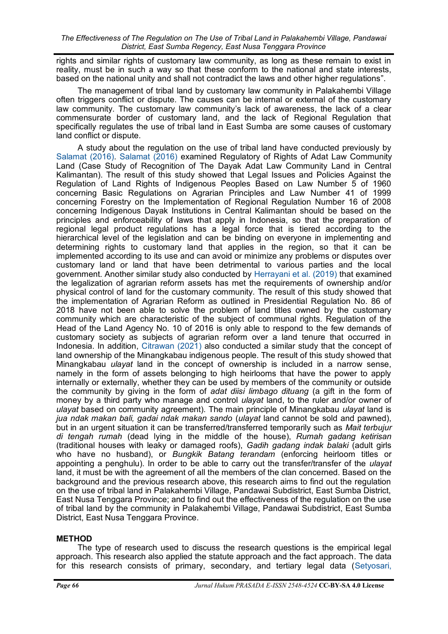rights and similar rights of customary law community, as long as these remain to exist in reality, must be in such a way so that these conform to the national and state interests, based on the national unity and shall not contradict the laws and other higher regulations".

The management of tribal land by customary law community in Palakahembi Village often triggers conflict or dispute. The causes can be internal or external of the customary law community. The customary law community's lack of awareness, the lack of a clear commensurate border of customary land, and the lack of Regional Regulation that specifically regulates the use of tribal land in East Sumba are some causes of customary land conflict or dispute.

A study about the regulation on the use of tribal land have conducted previously by [Salamat \(2016\).](#page-6-0) [Salamat \(2016\)](#page-7-0) examined Regulatory of Rights of Adat Law Community Land (Case Study of Recognition of The Dayak Adat Law Community Land in Central Kalimantan). The result of this study showed that Legal Issues and Policies Against the Regulation of Land Rights of Indigenous Peoples Based on Law Number 5 of 1960 concerning Basic Regulations on Agrarian Principles and Law Number 41 of 1999 concerning Forestry on the Implementation of Regional Regulation Number 16 of 2008 concerning Indigenous Dayak Institutions in Central Kalimantan should be based on the principles and enforceability of laws that apply in Indonesia, so that the preparation of regional legal product regulations has a legal force that is tiered according to the hierarchical level of the legislation and can be binding on everyone in implementing and determining rights to customary land that applies in the region, so that it can be implemented according to its use and can avoid or minimize any problems or disputes over customary land or land that have been detrimental to various parties and the local government. Another similar study also conducted by [Herrayani et al. \(2019\)](#page-7-0) that examined the legalization of agrarian reform assets has met the requirements of ownership and/or physical control of land for the customary community. The result of this study showed that the implementation of Agrarian Reform as outlined in Presidential Regulation No. 86 of 2018 have not been able to solve the problem of land titles owned by the customary community which are characteristic of the subject of communal rights. Regulation of the Head of the Land Agency No. 10 of 2016 is only able to respond to the few demands of customary society as subjects of agrarian reform over a land tenure that occurred in Indonesia. In addition, [Citrawan \(2021\)](#page-7-0) also conducted a similar study that the concept of land ownership of the Minangkabau indigenous people. The result of this study showed that Minangkabau *ulayat* land in the concept of ownership is included in a narrow sense, namely in the form of assets belonging to high heirlooms that have the power to apply internally or externally, whether they can be used by members of the community or outside the community by giving in the form of *adat diisi limbago dituang* (a gift in the form of money by a third party who manage and control *ulayat* land, to the ruler and/or owner of *ulayat* based on community agreement). The main principle of Minangkabau *ulayat* land is *jua ndak makan bali, gadai ndak makan sando* (*ulayat* land cannot be sold and pawned), but in an urgent situation it can be transferred/transferred temporarily such as *Mait terbujur di tengah rumah* (dead lying in the middle of the house), *Rumah gadang ketirisan* (traditional houses with leaky or damaged roofs), *Gadih gadang indak balaki* (adult girls who have no husband), or *Bungkik Batang terandam* (enforcing heirloom titles or appointing a penghulu). In order to be able to carry out the transfer/transfer of the *ulayat* land, it must be with the agreement of all the members of the clan concerned. Based on the background and the previous research above, this research aims to find out the regulation on the use of tribal land in Palakahembi Village, Pandawai Subdistrict, East Sumba District, East Nusa Tenggara Province; and to find out the effectiveness of the regulation on the use of tribal land by the community in Palakahembi Village, Pandawai Subdistrict, East Sumba District, East Nusa Tenggara Province.

## **METHOD**

The type of research used to discuss the research questions is the empirical legal approach. This research also applied the statute approach and the fact approach*.* The data for this research consists of primary, secondary, and tertiary legal data ([Setyosari,](#page-7-0)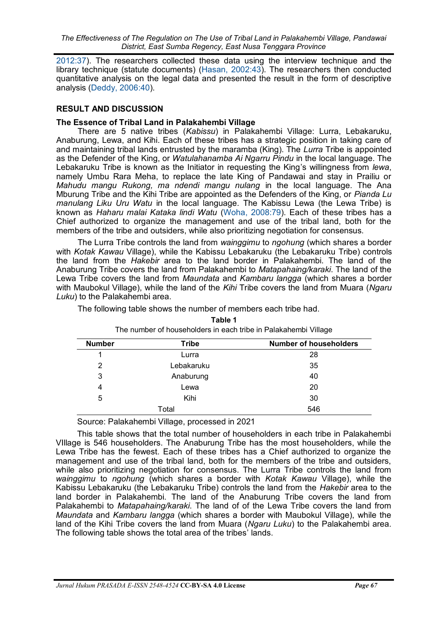[2012:37\)](#page-7-0). The researchers collected these data using the interview technique and the library technique (statute documents) ([Hasan, 2002:43\).](#page-6-0) The researchers then conducted quantitative analysis on the legal data and presented the result in the form of descriptive analysis [\(Deddy, 2006:40\).](#page-6-0)

## **RESULT AND DISCUSSION**

# **The Essence of Tribal Land in Palakahembi Village**

There are 5 native tribes (*Kabissu*) in Palakahembi Village: Lurra, Lebakaruku, Anaburung, Lewa, and Kihi. Each of these tribes has a strategic position in taking care of and maintaining tribal lands entrusted by the maramba (King). The *Lurra* Tribe is appointed as the Defender of the King, or *Watulahanamba Ai Ngarru Pindu* in the local language. The Lebakaruku Tribe is known as the Initiator in requesting the King's willingness from *lewa*, namely Umbu Rara Meha, to replace the late King of Pandawai and stay in Prailiu or *Mahudu mangu Rukong, ma ndendi mangu nulang* in the local language*.* The Ana Mburung Tribe and the Kihi Tribe are appointed as the Defenders of the King, or *Pianda Lu manulang Liku Uru Watu* in the local language*.* The Kabissu Lewa (the Lewa Tribe) is known as *Haharu malai Kataka lindi Watu* ([Woha, 2008:79\)](#page-6-0). Each of these tribes has a Chief authorized to organize the management and use of the tribal land, both for the members of the tribe and outsiders, while also prioritizing negotiation for consensus.

The Lurra Tribe controls the land from *wainggimu* to *ngohung* (which shares a border with *Kotak Kawau* Village), while the Kabissu Lebakaruku (the Lebakaruku Tribe) controls the land from the *Hakebir* area to the land border in Palakahembi. The land of the Anaburung Tribe covers the land from Palakahembi to *Matapahaing/karaki*. The land of the Lewa Tribe covers the land from *Maundata* and *Kambaru langga* (which shares a border with Maubokul Village), while the land of the *Kihi* Tribe covers the land from Muara (*Ngaru Luku*) to the Palakahembi area.

**Table 1**

| <b>Number</b> | <b>Tribe</b> | <b>Number of householders</b> |
|---------------|--------------|-------------------------------|
|               | Lurra        | 28                            |
| 2             | Lebakaruku   | 35                            |
| 3             | Anaburung    | 40                            |
| 4             | Lewa         | 20                            |
| 5             | Kihi         | 30                            |
| Total         |              | 546                           |

The following table shows the number of members each tribe had.

The number of householders in each tribe in Palakahembi Village

Source: Palakahembi Village, processed in 2021

This table shows that the total number of householders in each tribe in Palakahembi VIllage is 546 householders. The Anaburung Tribe has the most householders, while the Lewa Tribe has the fewest. Each of these tribes has a Chief authorized to organize the management and use of the tribal land, both for the members of the tribe and outsiders, while also prioritizing negotiation for consensus. The Lurra Tribe controls the land from *wainggimu* to *ngohung* (which shares a border with *Kotak Kawau* Village), while the Kabissu Lebakaruku (the Lebakaruku Tribe) controls the land from the *Hakebir* area to the land border in Palakahembi. The land of the Anaburung Tribe covers the land from Palakahembi to *Matapahaing/karaki*. The land of of the Lewa Tribe covers the land from *Maundata* and *Kambaru langga* (which shares a border with Maubokul Village), while the land of the Kihi Tribe covers the land from Muara (*Ngaru Luku*) to the Palakahembi area. The following table shows the total area of the tribes' lands.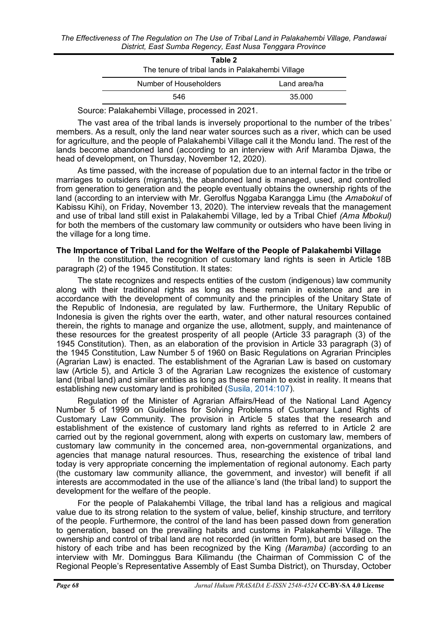| Table 2                                           |              |  |
|---------------------------------------------------|--------------|--|
| The tenure of tribal lands in Palakahembi Village |              |  |
| Number of Householders                            | Land area/ha |  |
| 546                                               | 35.000       |  |

Source: Palakahembi Village, processed in 2021.

The vast area of the tribal lands is inversely proportional to the number of the tribes' members. As a result, only the land near water sources such as a river, which can be used for agriculture, and the people of Palakahembi Village call it the Mondu land. The rest of the lands become abandoned land (according to an interview with Arif Maramba Djawa, the head of development, on Thursday, November 12, 2020).

As time passed, with the increase of population due to an internal factor in the tribe or marriages to outsiders (migrants), the abandoned land is managed, used, and controlled from generation to generation and the people eventually obtains the ownership rights of the land (according to an interview with Mr. Gerolfus Nggaba Karangga Limu (the *Amabokul* of Kabissu Kihi), on Friday, November 13, 2020). The interview reveals that the management and use of tribal land still exist in Palakahembi Village, led by a Tribal Chief *(Ama Mbokul)* for both the members of the customary law community or outsiders who have been living in the village for a long time.

#### **The Importance of Tribal Land for the Welfare of the People of Palakahembi Village**

In the constitution, the recognition of customary land rights is seen in Article 18B paragraph (2) of [the 1945 Constitution.](https://www.hukumonline.com/pusatdata/detail/lt4ca2eb6dd2834/node/lt49c8ba3665987/uud-undang-undang-dasar-1945) It states:

The state recognizes and respects entities of the custom (indigenous) law community along with their traditional rights as long as these remain in existence and are in accordance with the development of community and the principles of the Unitary State of the Republic of Indonesia, are regulated by law. Furthermore, the Unitary Republic of Indonesia is given the rights over the earth, water, and other natural resources contained therein, the rights to manage and organize the use, allotment, supply, and maintenance of these resources for the greatest prosperity of all people (Article 33 paragraph (3) of the 1945 Constitution). Then, as an elaboration of the provision in Article 33 paragraph (3) of the 1945 Constitution, Law Number 5 of 1960 on Basic Regulations on Agrarian Principles (Agrarian Law) is enacted. The establishment of the Agrarian Law is based on customary law (Article 5), and Article 3 of the Agrarian Law recognizes the existence of customary land (tribal land) and similar entities as long as these remain to exist in reality. It means that establishing new customary land is prohibited ([Susila, 2014:107\).](#page-6-0)

Regulation of the Minister of Agrarian Affairs/Head of the National Land Agency Number 5 of 1999 on Guidelines for Solving Problems of Customary Land Rights of Customary Law Community. The provision in Article 5 states that the research and establishment of the existence of customary land rights as referred to in Article 2 are carried out by the regional government, along with experts on customary law, members of customary law community in the concerned area, non-governmental organizations, and agencies that manage natural resources. Thus, researching the existence of tribal land today is very appropriate concerning the implementation of regional autonomy. Each party (the customary law community alliance, the government, and investor) will benefit if all interests are accommodated in the use of the alliance's land (the tribal land) to support the development for the welfare of the people.

For the people of Palakahembi Village, the tribal land has a religious and magical value due to its strong relation to the system of value, belief, kinship structure, and territory of the people. Furthermore, the control of the land has been passed down from generation to generation, based on the prevailing habits and customs in Palakahembi Village. The ownership and control of tribal land are not recorded (in written form), but are based on the history of each tribe and has been recognized by the King *(Maramba)* (according to an interview with Mr. Dominggus Bara Kilimandu (the Chairman of Commission C of the Regional People's Representative Assembly of East Sumba District), on Thursday, October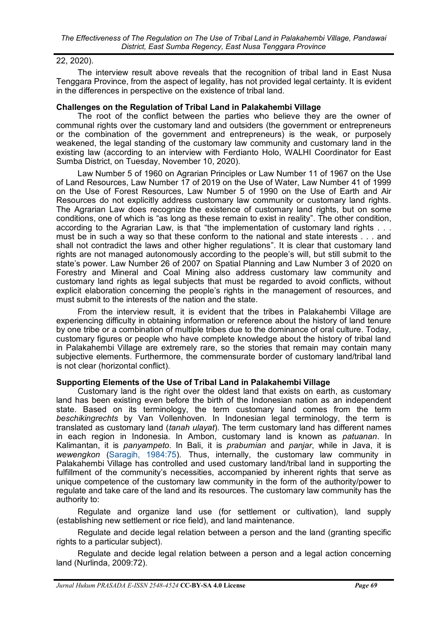### 22, 2020).

The interview result above reveals that the recognition of tribal land in East Nusa Tenggara Province, from the aspect of legality, has not provided legal certainty. It is evident in the differences in perspective on the existence of tribal land.

#### **Challenges on the Regulation of Tribal Land in Palakahembi Village**

The root of the conflict between the parties who believe they are the owner of [communal rights](https://kupang.tribunnews.com/tag/hak-komunal) over the customary land and outsiders (the government or entrepreneurs or the combination of the government and entrepreneurs) is the weak, or purposely weakened, the legal standing of the customary law [community](https://kupang.tribunnews.com/tag/masyarakat) and [customary land](https://kupang.tribunnews.com/tag/tanah-ulayat) in the existing law (according to an interview with Ferdianto Holo, WALHI Coordinator for East Sumba District, on Tuesday, November 10, 2020).

Law Number 5 of 1960 on Agrarian Principles or Law Number 11 of 1967 on the Use of Land Resources, Law Number 17 of 2019 on the Use of Water, Law Number 41 of 1999 on the Use of Forest Resources, Law Number 5 of 1990 on the Use of Earth and Air Resources do not explicitly address customary law community or customary land rights. The Agrarian Law does recognize the existence of customary land rights, but on some conditions, one of which is "as long as these remain to exist in reality". The other condition, according to the Agrarian Law, is that "the implementation of customary land rights . . . must be in such a way so that these conform to the national and state interests . . . and shall not contradict the laws and other higher regulations". It is clear that customary land rights are not managed autonomously according to the [people](https://kupang.tribunnews.com/tag/masyarakat)'s will, but still submit to the state's power. Law Number 26 of 2007 on Spatial Planning and Law Number 3 of 2020 on Forestry and Mineral and Coal Mining also address customary law community and customary land rights as legal subjects that must be regarded to avoid conflicts, without explicit elaboration concerning [the people](https://kupang.tribunnews.com/tag/masyarakat)'s rights in the management of resources, and must submit to the interests of the nation and the state.

From the interview result, it is evident that the tribes in Palakahembi Village are experiencing difficulty in obtaining information or reference about the history of land tenure by one tribe or a combination of multiple tribes due to the dominance of oral culture. Today, customary figures or people who have complete knowledge about the history of tribal land in Palakahembi Village are extremely rare, so the stories that remain may contain many subjective elements. Furthermore, the commensurate border of customary land/tribal land is not clear (horizontal conflict).

## **Supporting Elements of the Use of Tribal Land in Palakahembi Village**

Customary land is the right over the oldest land that exists on earth, as customary land has been existing even before the birth of the Indonesian nation as an independent state. Based on its terminology, the term customary land comes from the term *beschikingrechts* by Van Vollenhoven. In Indonesian legal terminology, the term is translated as customary land (*tanah ulayat*). The term customary land has different names in each region in Indonesia. In Ambon, customary land is known as *patuanan*. In Kalimantan, it is *panyampeto*. In Bali, it is *prabumian* and *panjar*, while in Java, it is *wewengkon* [\(Saragih, 1984:75\)](#page-6-0). Thus, internally, the customary law community in Palakahembi Village has controlled and used customary land/tribal land in supporting the fulfillment of the community's necessities, accompanied by inherent rights that serve as unique competence of the customary law community in the form of the authority/power to regulate and take care of the land and its resources. The customary law community has the authority to:

Regulate and organize land use (for settlement or cultivation), land supply (establishing new settlement or rice field), and land maintenance.

Regulate and decide legal relation between a person and the land (granting specific rights to a particular subject).

Regulate and decide legal relation between a person and a legal action concerning land (Nurlinda, 2009:72).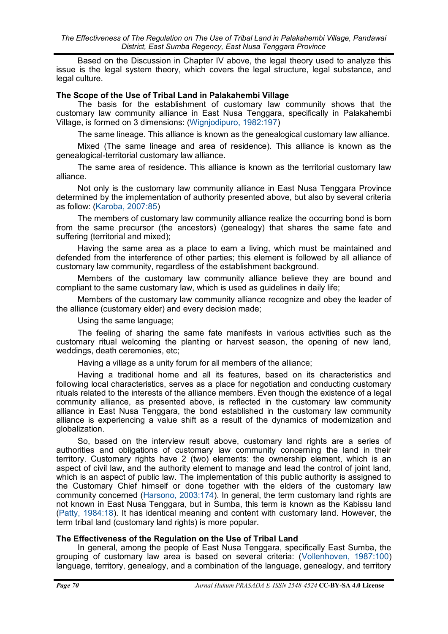Based on the Discussion in Chapter IV above, the legal theory used to analyze this issue is the legal system theory, which covers the legal structure, legal substance, and legal culture.

### **The Scope of the Use of Tribal Land in Palakahembi Village**

The basis for the establishment of customary law community shows that the customary law community alliance in East Nusa Tenggara, specifically in Palakahembi Village, is formed on 3 dimensions: [\(Wignjodipuro, 1982:197\)](#page-6-0)

The same lineage. This alliance is known as the genealogical customary law alliance.

Mixed (The same lineage and area of residence). This alliance is known as the genealogical-territorial customary law alliance.

The same area of residence. This alliance is known as the territorial customary law alliance.

Not only is the customary law community alliance in East Nusa Tenggara Province determined by the implementation of authority presented above, but also by several criteria as follow: [\(Karoba, 2007:85\)](#page-6-0)

The members of customary law community alliance realize the occurring bond is born from the same precursor (the ancestors) (genealogy) that shares the same fate and suffering (territorial and mixed);

Having the same area as a place to earn a living, which must be maintained and defended from the interference of other parties; this element is followed by all alliance of customary law community, regardless of the establishment background.

Members of the customary law community alliance believe they are bound and compliant to the same customary law, which is used as guidelines in daily life;

Members of the customary law community alliance recognize and obey the leader of the alliance (customary elder) and every decision made;

Using the same language;

The feeling of sharing the same fate manifests in various activities such as the customary ritual welcoming the planting or harvest season, the opening of new land, weddings, death ceremonies, etc;

Having a village as a unity forum for all members of the alliance;

Having a traditional home and all its features, based on its characteristics and following local characteristics, serves as a place for negotiation and conducting customary rituals related to the interests of the alliance members. Even though the existence of a legal community alliance, as presented above, is reflected in the customary law community alliance in East Nusa Tenggara, the bond established in the customary law community alliance is experiencing a value shift as a result of the dynamics of modernization and globalization.

So, based on the interview result above, customary land rights are a series of authorities and obligations of customary law community concerning the land in their territory. Customary rights have 2 (two) elements: the ownership element, which is an aspect of civil law, and the authority element to manage and lead the control of joint land, which is an aspect of public law. The implementation of this public authority is assigned to the Customary Chief himself or done together with the elders of the customary law community concerned [\(Harsono, 2003:174\)](#page-6-0). In general, the term customary land rights are not known in East Nusa Tenggara, but in Sumba, this term is known as the Kabissu land [\(Patty, 1984:18\)](#page-6-0). It has identical meaning and content with customary land. However, the term tribal land (customary land rights) is more popular.

## **The Effectiveness of the Regulation on the Use of Tribal Land**

In general, among the people of East Nusa Tenggara, specifically East Sumba, the grouping of customary law area is based on several criteria: ([Vollenhoven, 1987:100\)](#page-6-0)  language, territory, genealogy, and a combination of the language, genealogy, and territory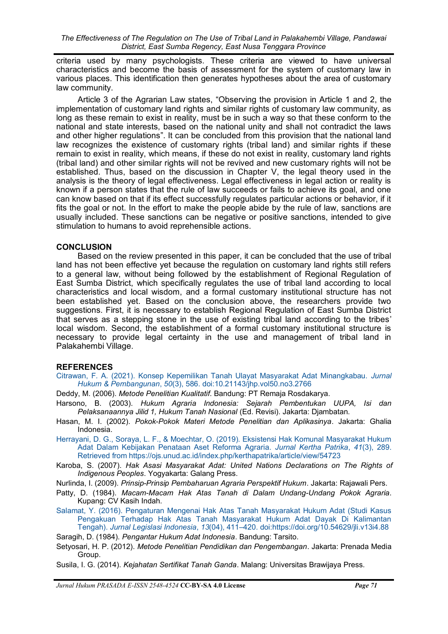<span id="page-6-0"></span>criteria used by many psychologists. These criteria are viewed to have universal characteristics and become the basis of assessment for the system of customary law in various places. This identification then generates hypotheses about the area of customary law community.

Article 3 of the Agrarian Law states, "Observing the provision in Article 1 and 2, the implementation of customary land rights and similar rights of customary law community, as long as these remain to exist in reality, must be in such a way so that these conform to the national and state interests, based on the national unity and shall not contradict the laws and other higher regulations". It can be concluded from this provision that the national land law recognizes the existence of customary rights (tribal land) and similar rights if these remain to exist in reality, which means, if these do not exist in reality, customary land rights (tribal land) and other similar rights will not be revived and new customary rights will not be established. Thus, based on the discussion in Chapter V, the legal theory used in the analysis is the theory of legal effectiveness. Legal effectiveness in legal action or reality is known if a person states that the rule of law succeeds or fails to achieve its goal, and one can know based on that if its effect successfully regulates particular actions or behavior, if it fits the goal or not. In the effort to make the people abide by the rule of law, sanctions are usually included. These sanctions can be negative or positive sanctions, intended to give stimulation to humans to avoid reprehensible actions.

#### **CONCLUSION**

Based on the review presented in this paper, it can be concluded that the use of tribal land has not been effective yet because the regulation on customary land rights still refers to a general law, without being followed by the establishment of Regional Regulation of East Sumba District, which specifically regulates the use of tribal land according to local characteristics and local wisdom, and a formal customary institutional structure has not been established yet. Based on the conclusion above, the researchers provide two suggestions. First, it is necessary to establish Regional Regulation of East Sumba District that serves as a stepping stone in the use of existing tribal land according to the tribes' local wisdom. Second, the establishment of a formal customary institutional structure is necessary to provide legal certainty in the use and management of tribal land in Palakahembi Village.

#### **REFERENCES**

[Citrawan, F. A. \(2021\). Konsep Kepemilikan Tanah Ulayat Masyarakat Adat Minangkabau.](http://jhp.ui.ac.id/index.php/home/article/view/2766) *Jurnal Hukum & Pembangunan*, *50*[\(3\), 586. doi:10.21143/jhp.vol50.no3.2766](http://jhp.ui.ac.id/index.php/home/article/view/2766)

Deddy, M. (2006). *Metode Penelitian Kualitatif*. Bandung: PT Remaja Rosdakarya.

Harsono, B. (2003). *Hukum Agraria Indonesia: Sejarah Pembentukan UUPA, Isi dan Pelaksanaannya Jilid 1, Hukum Tanah Nasional* (Ed. Revisi). Jakarta: Djambatan.

Hasan, M. I. (2002). *Pokok-Pokok Materi Metode Penelitian dan Aplikasinya*. Jakarta: Ghalia Indonesia.

[Herrayani, D. G., Soraya, L. F., & Moechtar, O. \(2019\). Eksistensi Hak Komunal Masyarakat Hukum](https://ojs.unud.ac.id/index.php/kerthapatrika/article/view/54723)  [Adat Dalam Kebijakan Penataan Aset Reforma Agraria.](https://ojs.unud.ac.id/index.php/kerthapatrika/article/view/54723) *Jurnal Kertha Patrika*, *41*(3), 289. [Retrieved from https://ojs.unud.ac.id/index.php/kerthapatrika/article/view/54723](https://ojs.unud.ac.id/index.php/kerthapatrika/article/view/54723)

Karoba, S. (2007). *Hak Asasi Masyarakat Adat: United Nations Declarations on The Rights of Indigenous Peoples*. Yogyakarta: Galang Press.

Nurlinda, I. (2009). *Prinsip-Prinsip Pembaharuan Agraria Perspektif Hukum*. Jakarta: Rajawali Pers.

Patty, D. (1984). *Macam-Macam Hak Atas Tanah di Dalam Undang-Undang Pokok Agraria*. Kupang: CV Kasih Indah.

[Salamat, Y. \(2016\). Pengaturan Mengenai Hak Atas Tanah Masyarakat Hukum Adat \(Studi Kasus](https://doi.org/10.54629/jli.v13i4.88)  [Pengakuan Terhadap Hak Atas Tanah Masyarakat Hukum Adat Dayak Di Kalimantan](https://doi.org/10.54629/jli.v13i4.88)  Tengah). *Jurnal Legislasi Indonesia*, *13*(04), 411–420. [doi:https://doi.org/10.54629/jli.v13i4.88](https://doi.org/10.54629/jli.v13i4.88)

Saragih, D. (1984). *Pengantar Hukum Adat Indonesia*. Bandung: Tarsito.

Setyosari, H. P. (2012). *Metode Penelitian Pendidikan dan Pengembangan*. Jakarta: Prenada Media Group.

Susila, I. G. (2014). *Kejahatan Sertifikat Tanah Ganda*. Malang: Universitas Brawijaya Press.